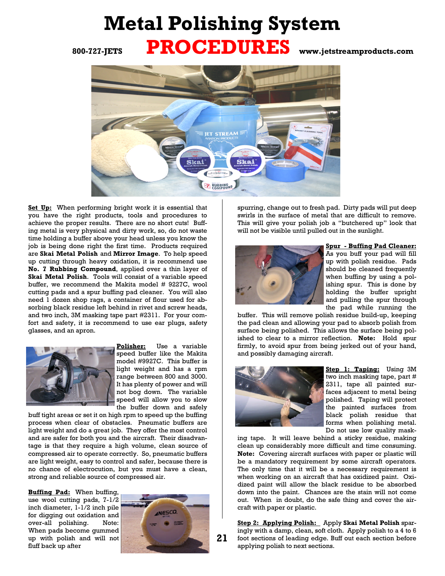## **Metal Polishing System 800-727-JETS PROCEDURES www.jetstreamproducts.com**



**Set Up:** When performing bright work it is essential that you have the right products, tools and procedures to achieve the proper results. There are no short cuts! Buffing metal is very physical and dirty work, so, do not waste time holding a buffer above your head unless you know the job is being done right the first time. Products required are **Skai Metal Polish** and **Mirror Image**. To help speed up cutting through heavy oxidation, it is recommend use **No. 7 Rubbing Compound**, applied over a thin layer of **Skai Metal Polish**. Tools will consist of a variable speed buffer, we recommend the Makita model # 9227C, wool cutting pads and a spur buffing pad cleaner. You will also need 1 dozen shop rags, a container of flour used for absorbing black residue left behind in rivet and screw heads, and two inch, 3M masking tape part #2311. For your comfort and safety, it is recommend to use ear plugs, safety glasses, and an apron.



**Polisher:** Use a variable speed buffer like the Makita model #9927C. This buffer is light weight and has a rpm range between 800 and 3000. It has plenty of power and will not bog down. The variable speed will allow you to slow the buffer down and safely

buff tight areas or set it on high rpm to speed up the buffing process when clear of obstacles. Pneumatic buffers are light weight and do a great job. They offer the most control and are safer for both you and the aircraft. Their disadvantage is that they require a high volume, clean source of compressed air to operate correctly. So, pneumatic buffers are light weight, easy to control and safer, because there is no chance of electrocution, but you must have a clean, strong and reliable source of compressed air.

**Buffing Pad:** When buffing,

use wool cutting pads, 7-1/2 inch diameter, 1-1/2 inch pile for digging out oxidation and over-all polishing. Note: When pads become gummed up with polish and will not fluff back up after



spurring, change out to fresh pad. Dirty pads will put deep swirls in the surface of metal that are difficult to remove. This will give your polish job a "butchered up" look that will not be visible until pulled out in the sunlight.



**Spur - Buffing Pad Cleaner:** As you buff your pad will fill up with polish residue. Pads should be cleaned frequently when buffing by using a polishing spur. This is done by holding the buffer upright and pulling the spur through

the pad while running the buffer. This will remove polish residue build-up, keeping the pad clean and allowing your pad to absorb polish from surface being polished. This allows the surface being polished to clear to a mirror reflection. **Note:** Hold spur firmly, to avoid spur from being jerked out of your hand, and possibly damaging aircraft.



**Step 1: Taping:** Using 3M two inch masking tape, part # 2311, tape all painted surfaces adjacent to metal being polished. Taping will protect the painted surfaces from black polish residue that forms when polishing metal. Do not use low quality mask-

ing tape. It will leave behind a sticky residue, making clean up considerably more difficult and time consuming. **Note:** Covering aircraft surfaces with paper or plastic will be a mandatory requirement by some aircraft operators. The only time that it will be a necessary requirement is when working on an aircraft that has oxidized paint. Oxidized paint will allow the black residue to be absorbed down into the paint. Chances are the stain will not come out. When in doubt, do the safe thing and cover the aircraft with paper or plastic.

**Step 2: Applying Polish:** Apply **Skai Metal Polish** sparingly with a damp, clean, soft cloth. Apply polish to a 4 to 6 foot sections of leading edge. Buff out each section before applying polish to next sections.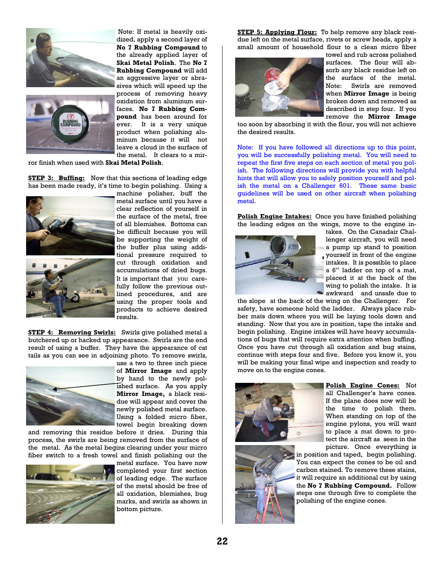



Note: If metal is heavily oxidized, apply a second layer of **No 7 Rubbing Compound** to the already applied layer of **Skai Metal Polish**. The **No 7 Rubbing Compound** will add an aggressive layer or abrasives which will speed up the process of removing heavy oxidation from aluminum surfaces. **No 7 Rubbing Compound** has been around for ever. It is a very unique product when polishing aluminum because it will not leave a cloud in the surface of the metal. It clears to a mir-

ror finish when used with **Skai Metal Polish**.

**STEP 3: Buffing:** Now that this sections of leading edge has been made ready, it's time to begin polishing. Using a





machine polisher, buff the metal surface until you have a clear reflection of yourself in the surface of the metal, free of all blemishes. Bottoms can be difficult because you will be supporting the weight of the buffer plus using additional pressure required to cut through oxidation and accumulations of dried bugs. It is important that you carefully follow the previous outlined procedures, and are using the proper tools and products to achieve desired results.

**STEP 4: Removing Swirls:** Swirls give polished metal a butchered up or hacked up appearance. Swirls are the end result of using a buffer. They have the appearance of cat tails as you can see in adjoining photo. To remove swirls,



use a two to three inch piece of **Mirror Image** and apply by hand to the newly polished surface. As you apply **Mirror Image,** a black residue will appear and cover the newly polished metal surface. Using a folded micro fiber, towel begin breaking down

and removing this residue before it dries. During this process, the swirls are being removed from the surface of the metal. As the metal begins clearing under your micro fiber switch to a fresh towel and finish polishing out the



metal surface. You have now completed your first section of leading edge. The surface of the metal should be free of all oxidation, blemishes, bug marks, and swirls as shown in bottom picture.

**STEP 5: Applying Flour:** To help remove any black residue left on the metal surface, rivets or screw heads, apply a small amount of household flour to a clean micro fiber



towel and rub across polished surfaces. The flour will absorb any black residue left on the surface of the metal. Note: Swirls are removed when **Mirror Image** is being broken down and removed as described in step four. If you remove the **Mirror Image**

too soon by absorbing it with the flour, you will not achieve the desired results.

Note: If you have followed all directions up to this point, you will be successfully polishing metal. You will need to repeat the first five steps on each section of metal you polish. The following directions will provide you with helpful hints that will allow you to safely position yourself and polish the metal on a Challenger 601. These same basic guidelines will be used on other aircraft when polishing metal.

**Polish Engine Intakes:** Once you have finished polishing the leading edges on the wings, move to the engine in-



takes. On the Canadair Challenger aircraft, you will need a pump up stand to position yourself in front of the engine intakes. It is possible to place a 6" ladder on top of a mat, placed it at the back of the wing to polish the intake. It is awkward and unsafe due to

the slope at the back of the wing on the Challenger. For safety, have someone hold the ladder. Always place rubber mats down where you will be laying tools down and standing. Now that you are in position, tape the intake and begin polishing. Engine intakes will have heavy accumulations of bugs that will require extra attention when buffing. Once you have cut through all oxidation and bug stains, continue with steps four and five. Before you know it, you will be making your final wipe and inspection and ready to move on to the engine cones.



**Polish Engine Cones:** Not all Challenger's have cones. If the plane does now will be the time to polish them. When standing on top of the engine pylons, you will want to place a mat down to protect the aircraft as seen in the picture. Once everything is

in position and taped, begin polishing. You can expect the cones to be oil and carbon stained. To remove these stains, it will require an additional cut by using the **No 7 Rubbing Compound.** Follow steps one through five to complete the polishing of the engine cones.